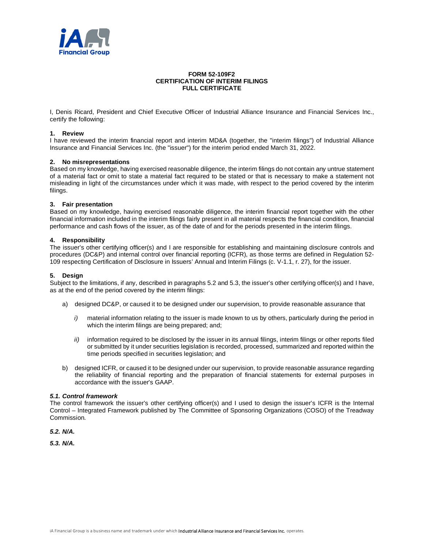

# **FORM 52-109F2 CERTIFICATION OF INTERIM FILINGS FULL CERTIFICATE**

I, Denis Ricard, President and Chief Executive Officer of Industrial Alliance Insurance and Financial Services Inc., certify the following:

### **1. Review**

I have reviewed the interim financial report and interim MD&A (together, the "interim filings") of Industrial Alliance Insurance and Financial Services Inc. (the "issuer") for the interim period ended March 31, 2022.

## **2. No misrepresentations**

Based on my knowledge, having exercised reasonable diligence, the interim filings do not contain any untrue statement of a material fact or omit to state a material fact required to be stated or that is necessary to make a statement not misleading in light of the circumstances under which it was made, with respect to the period covered by the interim filings.

#### **3. Fair presentation**

Based on my knowledge, having exercised reasonable diligence, the interim financial report together with the other financial information included in the interim filings fairly present in all material respects the financial condition, financial performance and cash flows of the issuer, as of the date of and for the periods presented in the interim filings.

## **4. Responsibility**

The issuer's other certifying officer(s) and I are responsible for establishing and maintaining disclosure controls and procedures (DC&P) and internal control over financial reporting (ICFR), as those terms are defined in Regulation 52- 109 respecting Certification of Disclosure in Issuers' Annual and Interim Filings (c. V-1.1, r. 27), for the issuer.

### **5. Design**

Subject to the limitations, if any, described in paragraphs 5.2 and 5.3, the issuer's other certifying officer(s) and I have, as at the end of the period covered by the interim filings:

- a) designed DC&P, or caused it to be designed under our supervision, to provide reasonable assurance that
	- *i)* material information relating to the issuer is made known to us by others, particularly during the period in which the interim filings are being prepared; and:
	- *ii)* information required to be disclosed by the issuer in its annual filings, interim filings or other reports filed or submitted by it under securities legislation is recorded, processed, summarized and reported within the time periods specified in securities legislation; and
- b) designed ICFR, or caused it to be designed under our supervision, to provide reasonable assurance regarding the reliability of financial reporting and the preparation of financial statements for external purposes in accordance with the issuer's GAAP.

#### *5.1. Control framework*

The control framework the issuer's other certifying officer(s) and I used to design the issuer's ICFR is the Internal Control – Integrated Framework published by The Committee of Sponsoring Organizations (COSO) of the Treadway Commission.

*5.2. N/A.*

*5.3. N/A.*